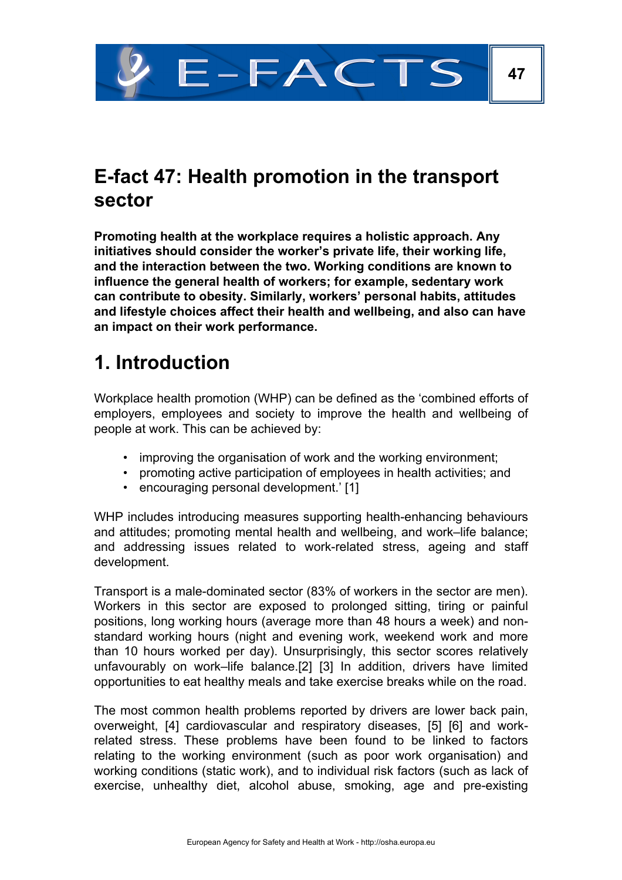

### **E-fact 47: Health promotion in the transport sector**

**Promoting health at the workplace requires a holistic approach. Any initiatives should consider the worker's private life, their working life, and the interaction between the two. Working conditions are known to influence the general health of workers; for example, sedentary work can contribute to obesity. Similarly, workers' personal habits, attitudes and lifestyle choices affect their health and wellbeing, and also can have an impact on their work performance.**

### **1. Introduction**

Workplace health promotion (WHP) can be defined as the 'combined efforts of employers, employees and society to improve the health and wellbeing of people at work. This can be achieved by:

- improving the organisation of work and the working environment;
- promoting active participation of employees in health activities; and
- encouraging personal development.' [1]

WHP includes introducing measures supporting health-enhancing behaviours and attitudes; promoting mental health and wellbeing, and work–life balance; and addressing issues related to work-related stress, ageing and staff development.

Transport is a male-dominated sector (83% of workers in the sector are men). Workers in this sector are exposed to prolonged sitting, tiring or painful positions, long working hours (average more than 48 hours a week) and nonstandard working hours (night and evening work, weekend work and more than 10 hours worked per day). Unsurprisingly, this sector scores relatively unfavourably on work–life balance.[2] [3] In addition, drivers have limited opportunities to eat healthy meals and take exercise breaks while on the road.

The most common health problems reported by drivers are lower back pain, overweight, [4] cardiovascular and respiratory diseases, [5] [6] and workrelated stress. These problems have been found to be linked to factors relating to the working environment (such as poor work organisation) and working conditions (static work), and to individual risk factors (such as lack of exercise, unhealthy diet, alcohol abuse, smoking, age and pre-existing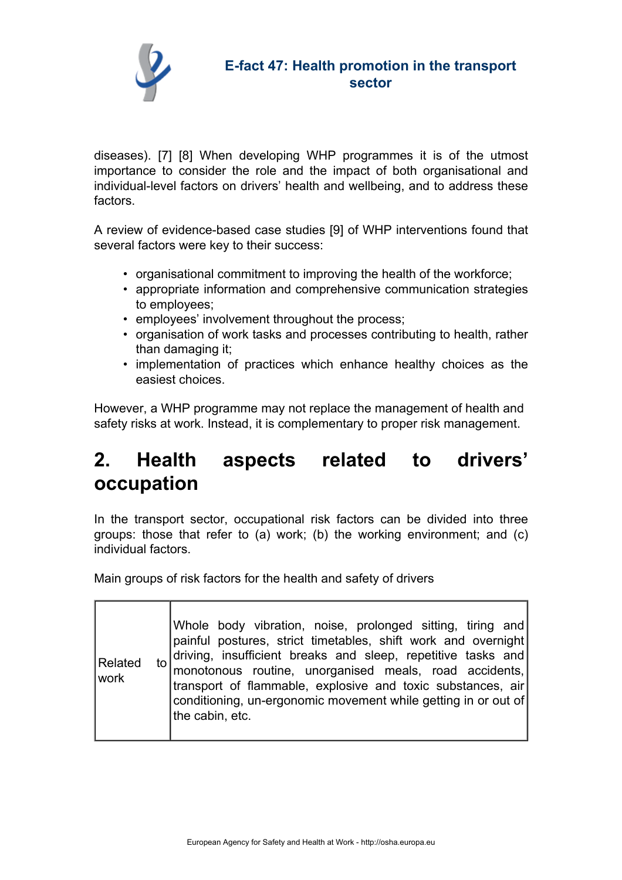

diseases). [7] [8] When developing WHP programmes it is of the utmost importance to consider the role and the impact of both organisational and individual-level factors on drivers' health and wellbeing, and to address these factors.

A review of evidence-based case studies [9] of WHP interventions found that several factors were key to their success:

- organisational commitment to improving the health of the workforce;
- appropriate information and comprehensive communication strategies to employees;
- employees' involvement throughout the process;
- organisation of work tasks and processes contributing to health, rather than damaging it;
- implementation of practices which enhance healthy choices as the easiest choices.

However, a WHP programme may not replace the management of health and safety risks at work. Instead, it is complementary to proper risk management.

## **2. Health aspects related to drivers' occupation**

In the transport sector, occupational risk factors can be divided into three groups: those that refer to (a) work; (b) the working environment; and (c) individual factors.

Main groups of risk factors for the health and safety of drivers

| Related<br> work | Whole body vibration, noise, prolonged sitting, tiring and<br>painful postures, strict timetables, shift work and overnight<br>to driving, insufficient breaks and sleep, repetitive tasks and $\vert$ monotonous routine, unorganised meals, road accidents,<br>transport of flammable, explosive and toxic substances, air<br>conditioning, un-ergonomic movement while getting in or out of<br>the cabin, etc. |
|------------------|-------------------------------------------------------------------------------------------------------------------------------------------------------------------------------------------------------------------------------------------------------------------------------------------------------------------------------------------------------------------------------------------------------------------|
|------------------|-------------------------------------------------------------------------------------------------------------------------------------------------------------------------------------------------------------------------------------------------------------------------------------------------------------------------------------------------------------------------------------------------------------------|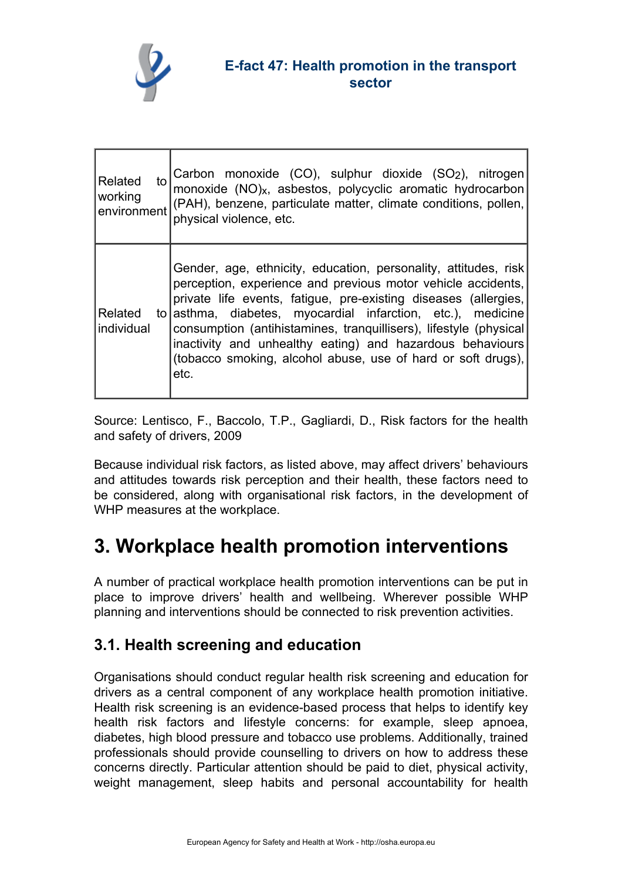

| Related               | Carbon monoxide (CO), sulphur dioxide (SO <sub>2</sub> ), nitrogen<br>monoxide (NO) <sub>x</sub> , asbestos, polycyclic aromatic hydrocarbon                                                                                                                                                                                                                                                                                                                                |
|-----------------------|-----------------------------------------------------------------------------------------------------------------------------------------------------------------------------------------------------------------------------------------------------------------------------------------------------------------------------------------------------------------------------------------------------------------------------------------------------------------------------|
| to                    | environment (PAH), benzene, particulate matter, climate conditions, pollen,                                                                                                                                                                                                                                                                                                                                                                                                 |
| working               | physical violence, etc.                                                                                                                                                                                                                                                                                                                                                                                                                                                     |
| Related<br>individual | Gender, age, ethnicity, education, personality, attitudes, risk<br>perception, experience and previous motor vehicle accidents,<br>private life events, fatigue, pre-existing diseases (allergies,<br>to asthma, diabetes, myocardial infarction, etc.), medicine<br>consumption (antihistamines, tranquillisers), lifestyle (physical<br>inactivity and unhealthy eating) and hazardous behaviours<br>(tobacco smoking, alcohol abuse, use of hard or soft drugs),<br>etc. |

Source: Lentisco, F., Baccolo, T.P., Gagliardi, D., Risk factors for the health and safety of drivers, 2009

Because individual risk factors, as listed above, may affect drivers' behaviours and attitudes towards risk perception and their health, these factors need to be considered, along with organisational risk factors, in the development of WHP measures at the workplace.

## **3. Workplace health promotion interventions**

A number of practical workplace health promotion interventions can be put in place to improve drivers' health and wellbeing. Wherever possible WHP planning and interventions should be connected to risk prevention activities.

#### **3.1. Health screening and education**

Organisations should conduct regular health risk screening and education for drivers as a central component of any workplace health promotion initiative. Health risk screening is an evidence-based process that helps to identify key health risk factors and lifestyle concerns: for example, sleep apnoea, diabetes, high blood pressure and tobacco use problems. Additionally, trained professionals should provide counselling to drivers on how to address these concerns directly. Particular attention should be paid to diet, physical activity, weight management, sleep habits and personal accountability for health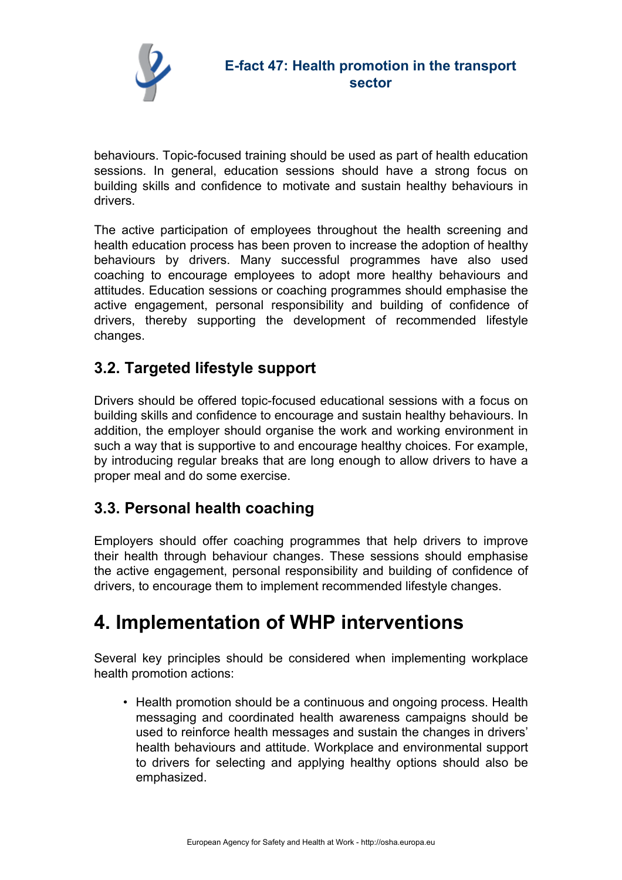

behaviours. Topic-focused training should be used as part of health education sessions. In general, education sessions should have a strong focus on building skills and confidence to motivate and sustain healthy behaviours in drivers.

The active participation of employees throughout the health screening and health education process has been proven to increase the adoption of healthy behaviours by drivers. Many successful programmes have also used coaching to encourage employees to adopt more healthy behaviours and attitudes. Education sessions or coaching programmes should emphasise the active engagement, personal responsibility and building of confidence of drivers, thereby supporting the development of recommended lifestyle changes.

#### **3.2. Targeted lifestyle support**

Drivers should be offered topic-focused educational sessions with a focus on building skills and confidence to encourage and sustain healthy behaviours. In addition, the employer should organise the work and working environment in such a way that is supportive to and encourage healthy choices. For example, by introducing regular breaks that are long enough to allow drivers to have a proper meal and do some exercise.

#### **3.3. Personal health coaching**

Employers should offer coaching programmes that help drivers to improve their health through behaviour changes. These sessions should emphasise the active engagement, personal responsibility and building of confidence of drivers, to encourage them to implement recommended lifestyle changes.

### **4. Implementation of WHP interventions**

Several key principles should be considered when implementing workplace health promotion actions:

• Health promotion should be a continuous and ongoing process. Health messaging and coordinated health awareness campaigns should be used to reinforce health messages and sustain the changes in drivers' health behaviours and attitude. Workplace and environmental support to drivers for selecting and applying healthy options should also be emphasized.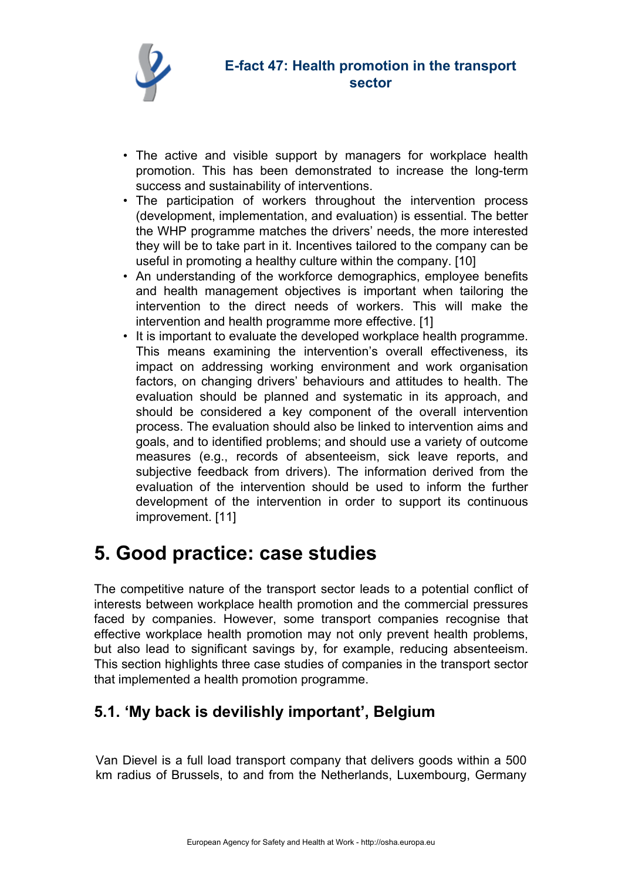

- The active and visible support by managers for workplace health promotion. This has been demonstrated to increase the long-term success and sustainability of interventions.
- The participation of workers throughout the intervention process (development, implementation, and evaluation) is essential. The better the WHP programme matches the drivers' needs, the more interested they will be to take part in it. Incentives tailored to the company can be useful in promoting a healthy culture within the company. [10]
- An understanding of the workforce demographics, employee benefits and health management objectives is important when tailoring the intervention to the direct needs of workers. This will make the intervention and health programme more effective. [1]
- It is important to evaluate the developed workplace health programme. This means examining the intervention's overall effectiveness, its impact on addressing working environment and work organisation factors, on changing drivers' behaviours and attitudes to health. The evaluation should be planned and systematic in its approach, and should be considered a key component of the overall intervention process. The evaluation should also be linked to intervention aims and goals, and to identified problems; and should use a variety of outcome measures (e.g., records of absenteeism, sick leave reports, and subjective feedback from drivers). The information derived from the evaluation of the intervention should be used to inform the further development of the intervention in order to support its continuous improvement. [11]

### **5. Good practice: case studies**

The competitive nature of the transport sector leads to a potential conflict of interests between workplace health promotion and the commercial pressures faced by companies. However, some transport companies recognise that effective workplace health promotion may not only prevent health problems, but also lead to significant savings by, for example, reducing absenteeism. This section highlights three case studies of companies in the transport sector that implemented a health promotion programme.

#### **5.1. 'My back is devilishly important', Belgium**

Van Dievel is a full load transport company that delivers goods within a 500 km radius of Brussels, to and from the Netherlands, Luxembourg, Germany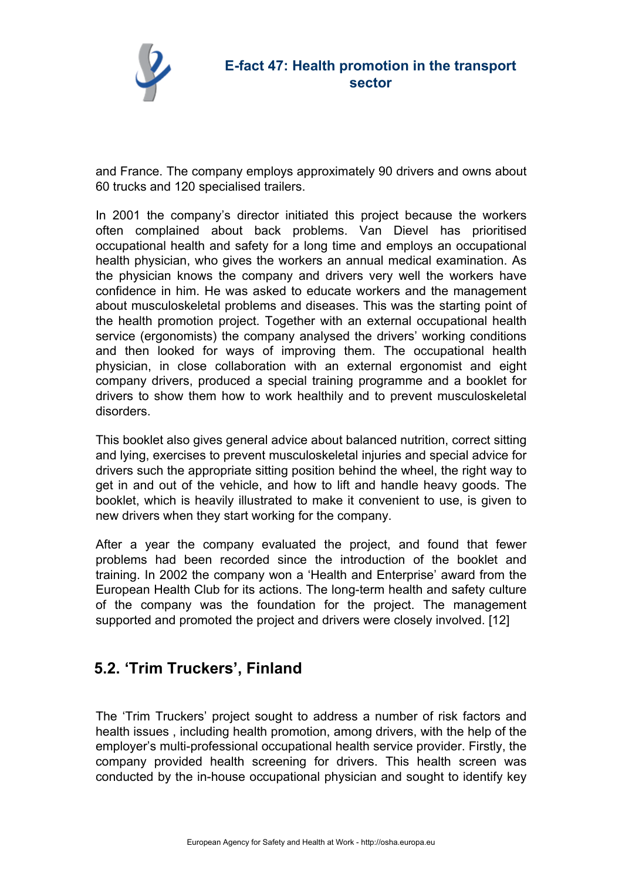

and France. The company employs approximately 90 drivers and owns about 60 trucks and 120 specialised trailers.

In 2001 the company's director initiated this project because the workers often complained about back problems. Van Dievel has prioritised occupational health and safety for a long time and employs an occupational health physician, who gives the workers an annual medical examination. As the physician knows the company and drivers very well the workers have confidence in him. He was asked to educate workers and the management about musculoskeletal problems and diseases. This was the starting point of the health promotion project. Together with an external occupational health service (ergonomists) the company analysed the drivers' working conditions and then looked for ways of improving them. The occupational health physician, in close collaboration with an external ergonomist and eight company drivers, produced a special training programme and a booklet for drivers to show them how to work healthily and to prevent musculoskeletal disorders.

This booklet also gives general advice about balanced nutrition, correct sitting and lying, exercises to prevent musculoskeletal injuries and special advice for drivers such the appropriate sitting position behind the wheel, the right way to get in and out of the vehicle, and how to lift and handle heavy goods. The booklet, which is heavily illustrated to make it convenient to use, is given to new drivers when they start working for the company.

After a year the company evaluated the project, and found that fewer problems had been recorded since the introduction of the booklet and training. In 2002 the company won a 'Health and Enterprise' award from the European Health Club for its actions. The long-term health and safety culture of the company was the foundation for the project. The management supported and promoted the project and drivers were closely involved. [12]

#### **5.2. 'Trim Truckers', Finland**

The 'Trim Truckers' project sought to address a number of risk factors and health issues , including health promotion, among drivers, with the help of the employer's multi-professional occupational health service provider. Firstly, the company provided health screening for drivers. This health screen was conducted by the in-house occupational physician and sought to identify key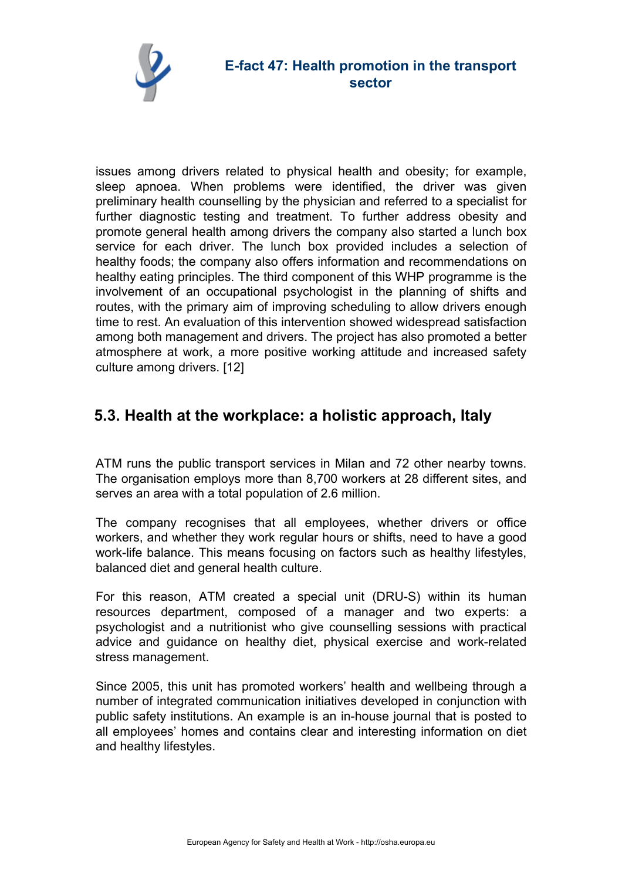

issues among drivers related to physical health and obesity; for example, sleep apnoea. When problems were identified, the driver was given preliminary health counselling by the physician and referred to a specialist for further diagnostic testing and treatment. To further address obesity and promote general health among drivers the company also started a lunch box service for each driver. The lunch box provided includes a selection of healthy foods; the company also offers information and recommendations on healthy eating principles. The third component of this WHP programme is the involvement of an occupational psychologist in the planning of shifts and routes, with the primary aim of improving scheduling to allow drivers enough time to rest. An evaluation of this intervention showed widespread satisfaction among both management and drivers. The project has also promoted a better atmosphere at work, a more positive working attitude and increased safety culture among drivers. [12]

#### **5.3. Health at the workplace: a holistic approach, Italy**

ATM runs the public transport services in Milan and 72 other nearby towns. The organisation employs more than 8,700 workers at 28 different sites, and serves an area with a total population of 2.6 million.

The company recognises that all employees, whether drivers or office workers, and whether they work regular hours or shifts, need to have a good work-life balance. This means focusing on factors such as healthy lifestyles, balanced diet and general health culture.

For this reason, ATM created a special unit (DRU-S) within its human resources department, composed of a manager and two experts: a psychologist and a nutritionist who give counselling sessions with practical advice and guidance on healthy diet, physical exercise and work-related stress management.

Since 2005, this unit has promoted workers' health and wellbeing through a number of integrated communication initiatives developed in conjunction with public safety institutions. An example is an in-house journal that is posted to all employees' homes and contains clear and interesting information on diet and healthy lifestyles.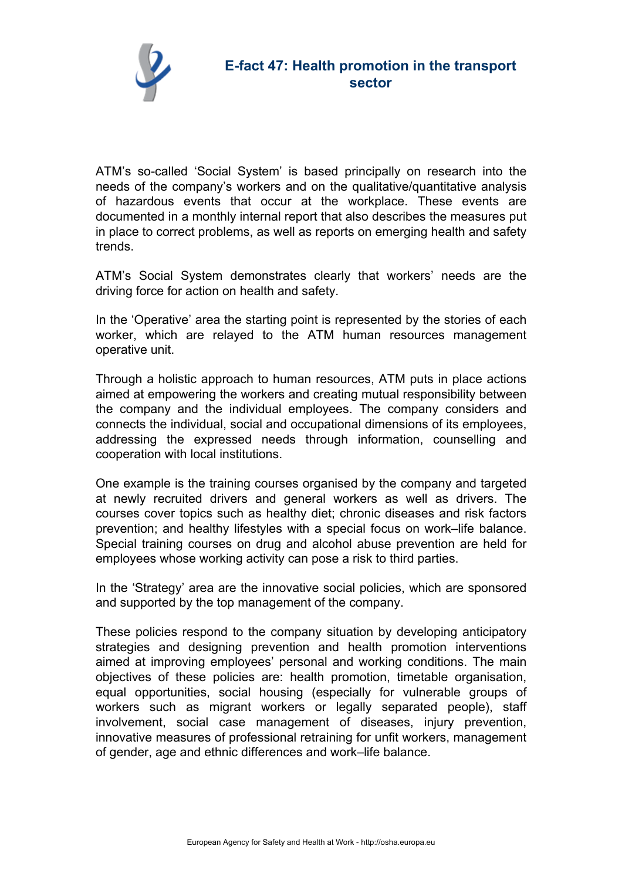

ATM's so-called 'Social System' is based principally on research into the needs of the company's workers and on the qualitative/quantitative analysis of hazardous events that occur at the workplace. These events are documented in a monthly internal report that also describes the measures put in place to correct problems, as well as reports on emerging health and safety trends.

ATM's Social System demonstrates clearly that workers' needs are the driving force for action on health and safety.

In the 'Operative' area the starting point is represented by the stories of each worker, which are relayed to the ATM human resources management operative unit.

Through a holistic approach to human resources, ATM puts in place actions aimed at empowering the workers and creating mutual responsibility between the company and the individual employees. The company considers and connects the individual, social and occupational dimensions of its employees, addressing the expressed needs through information, counselling and cooperation with local institutions.

One example is the training courses organised by the company and targeted at newly recruited drivers and general workers as well as drivers. The courses cover topics such as healthy diet; chronic diseases and risk factors prevention; and healthy lifestyles with a special focus on work–life balance. Special training courses on drug and alcohol abuse prevention are held for employees whose working activity can pose a risk to third parties.

In the 'Strategy' area are the innovative social policies, which are sponsored and supported by the top management of the company.

These policies respond to the company situation by developing anticipatory strategies and designing prevention and health promotion interventions aimed at improving employees' personal and working conditions. The main objectives of these policies are: health promotion, timetable organisation, equal opportunities, social housing (especially for vulnerable groups of workers such as migrant workers or legally separated people), staff involvement, social case management of diseases, injury prevention, innovative measures of professional retraining for unfit workers, management of gender, age and ethnic differences and work–life balance.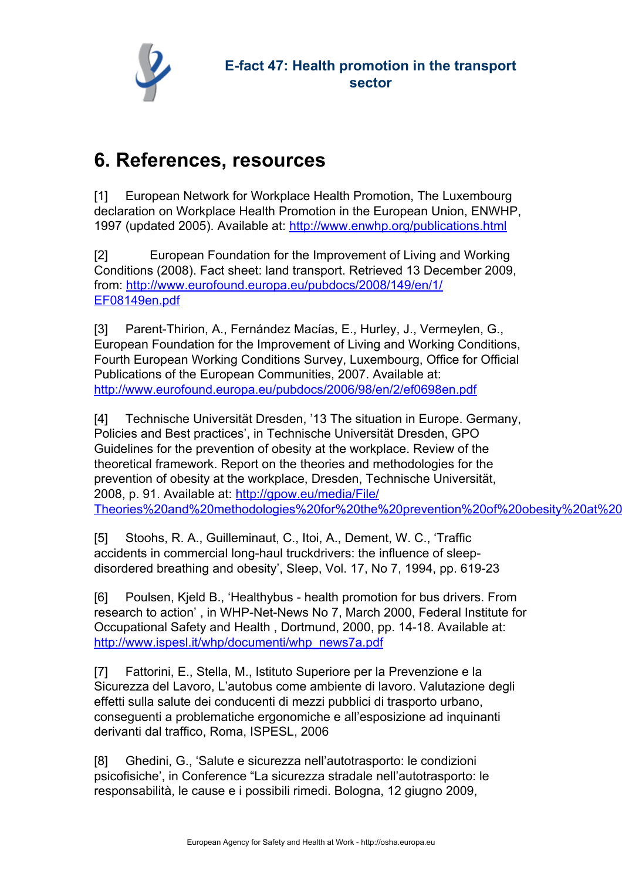

## **6. References, resources**

[1] European Network for Workplace Health Promotion, The Luxembourg declaration on Workplace Health Promotion in the European Union, ENWHP, 1997 (updated 2005). Available at: <http://www.enwhp.org/publications.html>

[2] European Foundation for the Improvement of Living and Working Conditions (2008). Fact sheet: land transport. Retrieved 13 December 2009, from: [http://www.eurofound.europa.eu/pubdocs/2008/149/en/1/](http://www.eurofound.europa.eu/pubdocs/2008/149/en/1/EF08149en.pdf) [EF08149en.pdf](http://www.eurofound.europa.eu/pubdocs/2008/149/en/1/EF08149en.pdf)

[3] Parent-Thirion, A., Fernández Macías, E., Hurley, J., Vermeylen, G., European Foundation for the Improvement of Living and Working Conditions, Fourth European Working Conditions Survey, Luxembourg, Office for Official Publications of the European Communities, 2007. Available at: <http://www.eurofound.europa.eu/pubdocs/2006/98/en/2/ef0698en.pdf>

[4] Technische Universität Dresden, '13 The situation in Europe. Germany, Policies and Best practices', in Technische Universität Dresden, GPO Guidelines for the prevention of obesity at the workplace. Review of the theoretical framework. Report on the theories and methodologies for the prevention of obesity at the workplace, Dresden, Technische Universität, 2008, p. 91. Available at: [http://gpow.eu/media/File/](http://gpow.eu/media/File/Theories%20and%20methodologies%20for%20the%20prevention%20of%20obesity%20at%20the%20workplace.pdf) Theories%20and%20methodologies%20for%20the%20prevention%20of%20obesity%20at%20

[5] Stoohs, R. A., Guilleminaut, C., Itoi, A., Dement, W. C., 'Traffic accidents in commercial long-haul truckdrivers: the influence of sleepdisordered breathing and obesity', Sleep, Vol. 17, No 7, 1994, pp. 619-23

[6] Poulsen, Kjeld B., 'Healthybus - health promotion for bus drivers. From research to action' , in WHP-Net-News No 7, March 2000, Federal Institute for Occupational Safety and Health , Dortmund, 2000, pp. 14-18. Available at: [http://www.ispesl.it/whp/documenti/whp\\_news7a.pdf](http://www.ispesl.it/whp/documenti/whp_news7a.pdf)

[7] Fattorini, E., Stella, M., Istituto Superiore per la Prevenzione e la Sicurezza del Lavoro, L'autobus come ambiente di lavoro. Valutazione degli effetti sulla salute dei conducenti di mezzi pubblici di trasporto urbano, conseguenti a problematiche ergonomiche e all'esposizione ad inquinanti derivanti dal traffico, Roma, ISPESL, 2006

[8] Ghedini, G., 'Salute e sicurezza nell'autotrasporto: le condizioni psicofisiche', in Conference "La sicurezza stradale nell'autotrasporto: le responsabilità, le cause e i possibili rimedi. Bologna, 12 giugno 2009,